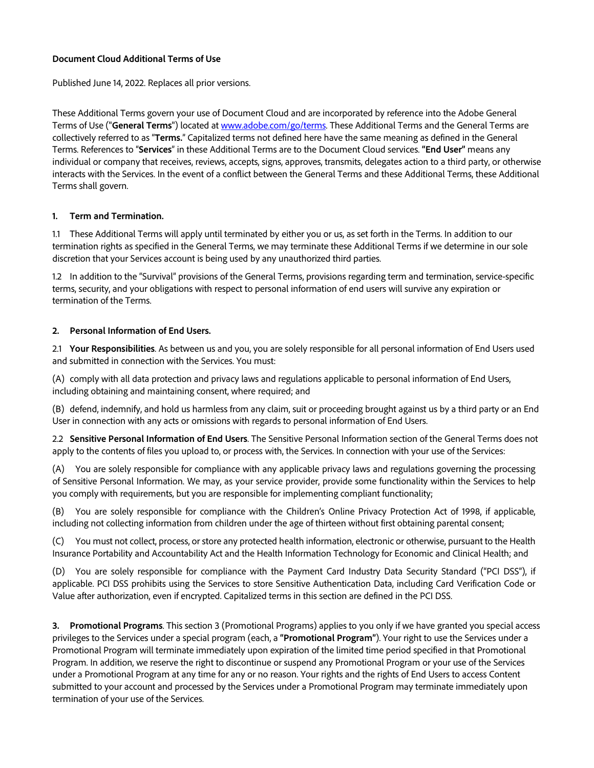### **Document Cloud Additional Terms of Use**

Published June 14, 2022. Replaces all prior versions.

These Additional Terms govern your use of Document Cloud and are incorporated by reference into the Adobe General Terms of Use ("**General Terms**") located at [www.adobe.com/go/terms.](http://www.adobe.com/go/terms) These Additional Terms and the General Terms are collectively referred to as "**Terms.**" Capitalized terms not defined here have the same meaning as defined in the General Terms. References to "**Services**" in these Additional Terms are to the Document Cloud services. **"End User"** means any individual or company that receives, reviews, accepts, signs, approves, transmits, delegates action to a third party, or otherwise interacts with the Services. In the event of a conflict between the General Terms and these Additional Terms, these Additional Terms shall govern.

### **1. Term and Termination.**

1.1 These Additional Terms will apply until terminated by either you or us, as set forth in the Terms. In addition to our termination rights as specified in the General Terms, we may terminate these Additional Terms if we determine in our sole discretion that your Services account is being used by any unauthorized third parties.

1.2 In addition to the "Survival" provisions of the General Terms, provisions regarding term and termination, service-specific terms, security, and your obligations with respect to personal information of end users will survive any expiration or termination of the Terms.

### **2. Personal Information of End Users.**

2.1 **Your Responsibilities**. As between us and you, you are solely responsible for all personal information of End Users used and submitted in connection with the Services. You must:

(A) comply with all data protection and privacy laws and regulations applicable to personal information of End Users, including obtaining and maintaining consent, where required; and

(B) defend, indemnify, and hold us harmless from any claim, suit or proceeding brought against us by a third party or an End User in connection with any acts or omissions with regards to personal information of End Users.

2.2 **Sensitive Personal Information of End Users**. The Sensitive Personal Information section of the General Terms does not apply to the contents of files you upload to, or process with, the Services. In connection with your use of the Services:

(A) You are solely responsible for compliance with any applicable privacy laws and regulations governing the processing of Sensitive Personal Information. We may, as your service provider, provide some functionality within the Services to help you comply with requirements, but you are responsible for implementing compliant functionality;

(B) You are solely responsible for compliance with the Children's Online Privacy Protection Act of 1998, if applicable, including not collecting information from children under the age of thirteen without first obtaining parental consent;

(C) You must not collect, process, or store any protected health information, electronic or otherwise, pursuant to the Health Insurance Portability and Accountability Act and the Health Information Technology for Economic and Clinical Health; and

(D) You are solely responsible for compliance with the Payment Card Industry Data Security Standard ("PCI DSS"), if applicable. PCI DSS prohibits using the Services to store Sensitive Authentication Data, including Card Verification Code or Value after authorization, even if encrypted. Capitalized terms in this section are defined in the PCI DSS.

**3. Promotional Programs**. This section 3 (Promotional Programs) applies to you only if we have granted you special access privileges to the Services under a special program (each, a **"Promotional Program"**). Your right to use the Services under a Promotional Program will terminate immediately upon expiration of the limited time period specified in that Promotional Program. In addition, we reserve the right to discontinue or suspend any Promotional Program or your use of the Services under a Promotional Program at any time for any or no reason. Your rights and the rights of End Users to access Content submitted to your account and processed by the Services under a Promotional Program may terminate immediately upon termination of your use of the Services.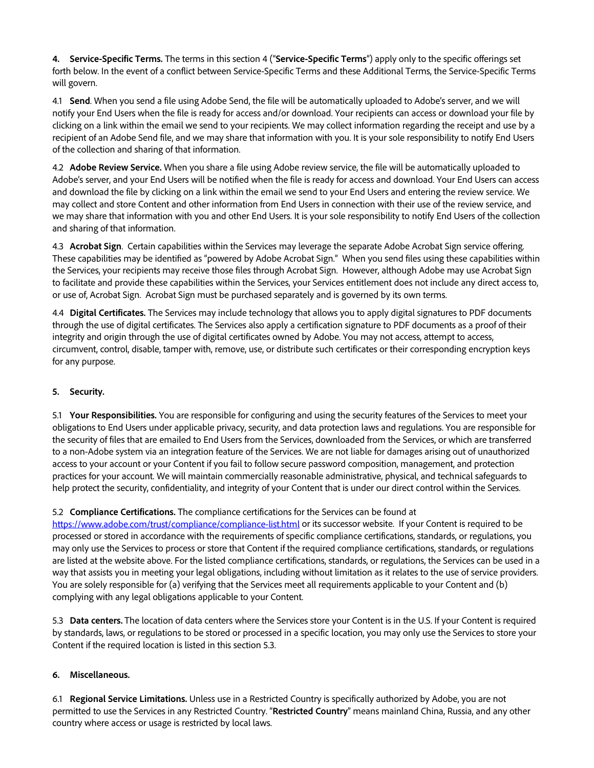**4. Service-Specific Terms.** The terms in this section 4 ("**Service-Specific Terms**") apply only to the specific offerings set forth below. In the event of a conflict between Service-Specific Terms and these Additional Terms, the Service-Specific Terms will govern.

4.1 **Send**. When you send a file using Adobe Send, the file will be automatically uploaded to Adobe's server, and we will notify your End Users when the file is ready for access and/or download. Your recipients can access or download your file by clicking on a link within the email we send to your recipients. We may collect information regarding the receipt and use by a recipient of an Adobe Send file, and we may share that information with you. It is your sole responsibility to notify End Users of the collection and sharing of that information.

4.2 **Adobe Review Service.** When you share a file using Adobe review service, the file will be automatically uploaded to Adobe's server, and your End Users will be notified when the file is ready for access and download. Your End Users can access and download the file by clicking on a link within the email we send to your End Users and entering the review service. We may collect and store Content and other information from End Users in connection with their use of the review service, and we may share that information with you and other End Users. It is your sole responsibility to notify End Users of the collection and sharing of that information.

4.3 **Acrobat Sign**. Certain capabilities within the Services may leverage the separate Adobe Acrobat Sign service offering. These capabilities may be identified as "powered by Adobe Acrobat Sign." When you send files using these capabilities within the Services, your recipients may receive those files through Acrobat Sign. However, although Adobe may use Acrobat Sign to facilitate and provide these capabilities within the Services, your Services entitlement does not include any direct access to, or use of, Acrobat Sign. Acrobat Sign must be purchased separately and is governed by its own terms.

4.4 **Digital Certificates.** The Services may include technology that allows you to apply digital signatures to PDF documents through the use of digital certificates. The Services also apply a certification signature to PDF documents as a proof of their integrity and origin through the use of digital certificates owned by Adobe. You may not access, attempt to access, circumvent, control, disable, tamper with, remove, use, or distribute such certificates or their corresponding encryption keys for any purpose.

# **5. Security.**

5.1 **Your Responsibilities.** You are responsible for configuring and using the security features of the Services to meet your obligations to End Users under applicable privacy, security, and data protection laws and regulations. You are responsible for the security of files that are emailed to End Users from the Services, downloaded from the Services, or which are transferred to a non-Adobe system via an integration feature of the Services. We are not liable for damages arising out of unauthorized access to your account or your Content if you fail to follow secure password composition, management, and protection practices for your account. We will maintain commercially reasonable administrative, physical, and technical safeguards to help protect the security, confidentiality, and integrity of your Content that is under our direct control within the Services.

# 5.2 **Compliance Certifications.** The compliance certifications for the Services can be found at

<https://www.adobe.com/trust/compliance/compliance-list.html> or its successor website. If your Content is required to be processed or stored in accordance with the requirements of specific compliance certifications, standards, or regulations, you may only use the Services to process or store that Content if the required compliance certifications, standards, or regulations are listed at the website above. For the listed compliance certifications, standards, or regulations, the Services can be used in a way that assists you in meeting your legal obligations, including without limitation as it relates to the use of service providers. You are solely responsible for (a) verifying that the Services meet all requirements applicable to your Content and (b) complying with any legal obligations applicable to your Content.

5.3 **Data centers.** The location of data centers where the Services store your Content is in the U.S. If your Content is required by standards, laws, or regulations to be stored or processed in a specific location, you may only use the Services to store your Content if the required location is listed in this section 5.3.

# **6. Miscellaneous.**

6.1 **Regional Service Limitations.** Unless use in a Restricted Country is specifically authorized by Adobe, you are not permitted to use the Services in any Restricted Country. "**Restricted Country**" means mainland China, Russia, and any other country where access or usage is restricted by local laws.